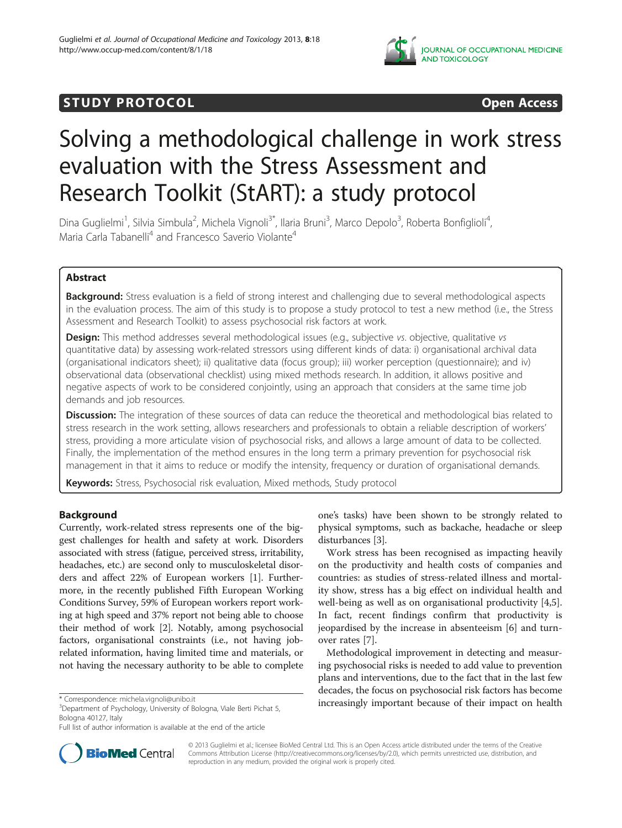

# **STUDY PROTOCOL CONSUMING THE CONSUMING OPEN ACCESS**

# Solving a methodological challenge in work stress evaluation with the Stress Assessment and Research Toolkit (StART): a study protocol

Dina Guglielmi<sup>1</sup>, Silvia Simbula<sup>2</sup>, Michela Vignoli<sup>3\*</sup>, Ilaria Bruni<sup>3</sup>, Marco Depolo<sup>3</sup>, Roberta Bonfiglioli<sup>4</sup> , Maria Carla Tabanelli<sup>4</sup> and Francesco Saverio Violante<sup>4</sup>

# Abstract

Background: Stress evaluation is a field of strong interest and challenging due to several methodological aspects in the evaluation process. The aim of this study is to propose a study protocol to test a new method (i.e., the Stress Assessment and Research Toolkit) to assess psychosocial risk factors at work.

**Design:** This method addresses several methodological issues (e.g., subjective vs. objective, qualitative vs. quantitative data) by assessing work-related stressors using different kinds of data: i) organisational archival data (organisational indicators sheet); ii) qualitative data (focus group); iii) worker perception (questionnaire); and iv) observational data (observational checklist) using mixed methods research. In addition, it allows positive and negative aspects of work to be considered conjointly, using an approach that considers at the same time job demands and job resources.

Discussion: The integration of these sources of data can reduce the theoretical and methodological bias related to stress research in the work setting, allows researchers and professionals to obtain a reliable description of workers' stress, providing a more articulate vision of psychosocial risks, and allows a large amount of data to be collected. Finally, the implementation of the method ensures in the long term a primary prevention for psychosocial risk management in that it aims to reduce or modify the intensity, frequency or duration of organisational demands.

Keywords: Stress, Psychosocial risk evaluation, Mixed methods, Study protocol

# Background

Currently, work-related stress represents one of the biggest challenges for health and safety at work. Disorders associated with stress (fatigue, perceived stress, irritability, headaches, etc.) are second only to musculoskeletal disorders and affect 22% of European workers [\[1](#page-9-0)]. Furthermore, in the recently published Fifth European Working Conditions Survey, 59% of European workers report working at high speed and 37% report not being able to choose their method of work [[2\]](#page-9-0). Notably, among psychosocial factors, organisational constraints (i.e., not having jobrelated information, having limited time and materials, or not having the necessary authority to be able to complete

one's tasks) have been shown to be strongly related to physical symptoms, such as backache, headache or sleep disturbances [[3](#page-9-0)].

Work stress has been recognised as impacting heavily on the productivity and health costs of companies and countries: as studies of stress-related illness and mortality show, stress has a big effect on individual health and well-being as well as on organisational productivity [\[4,5](#page-9-0)]. In fact, recent findings confirm that productivity is jeopardised by the increase in absenteeism [[6](#page-9-0)] and turnover rates [[7\]](#page-9-0).

Methodological improvement in detecting and measuring psychosocial risks is needed to add value to prevention plans and interventions, due to the fact that in the last few decades, the focus on psychosocial risk factors has become \* Correspondence: [michela.vignoli@unibo.it](mailto:michela.vignoli@unibo.it) **3December 1996** increasingly important because of their impact on health



© 2013 Guglielmi et al.; licensee BioMed Central Ltd. This is an Open Access article distributed under the terms of the Creative Commons Attribution License [\(http://creativecommons.org/licenses/by/2.0\)](http://creativecommons.org/licenses/by/2.0), which permits unrestricted use, distribution, and reproduction in any medium, provided the original work is properly cited.

<sup>&</sup>lt;sup>3</sup>Department of Psychology, University of Bologna, Viale Berti Pichat 5, Bologna 40127, Italy

Full list of author information is available at the end of the article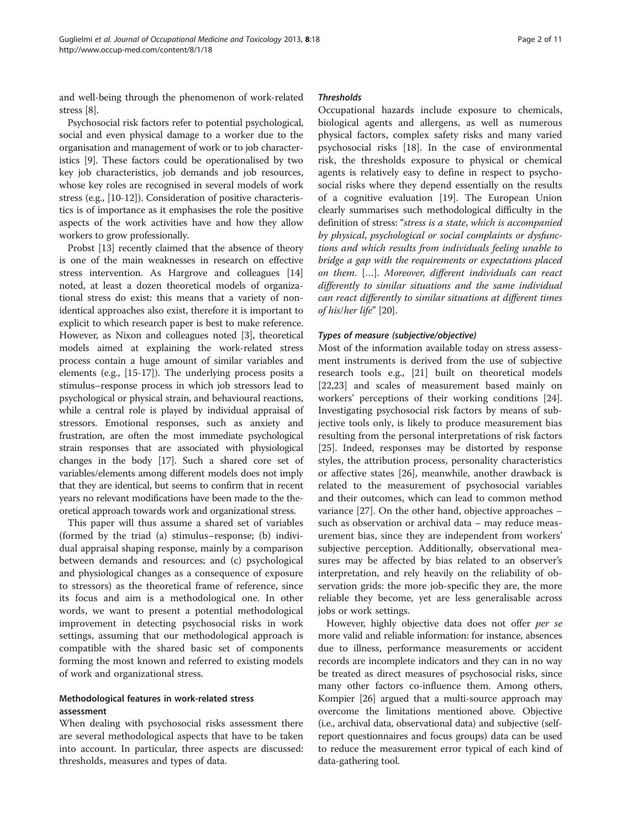and well-being through the phenomenon of work-related stress [\[8](#page-9-0)].

Psychosocial risk factors refer to potential psychological, social and even physical damage to a worker due to the organisation and management of work or to job characteristics [[9\]](#page-9-0). These factors could be operationalised by two key job characteristics, job demands and job resources, whose key roles are recognised in several models of work stress (e.g., [\[10-12\]](#page-9-0)). Consideration of positive characteristics is of importance as it emphasises the role the positive aspects of the work activities have and how they allow workers to grow professionally.

Probst [\[13\]](#page-10-0) recently claimed that the absence of theory is one of the main weaknesses in research on effective stress intervention. As Hargrove and colleagues [[14](#page-10-0)] noted, at least a dozen theoretical models of organizational stress do exist: this means that a variety of nonidentical approaches also exist, therefore it is important to explicit to which research paper is best to make reference. However, as Nixon and colleagues noted [\[3](#page-9-0)], theoretical models aimed at explaining the work-related stress process contain a huge amount of similar variables and elements (e.g., [\[15-17\]](#page-10-0)). The underlying process posits a stimulus–response process in which job stressors lead to psychological or physical strain, and behavioural reactions, while a central role is played by individual appraisal of stressors. Emotional responses, such as anxiety and frustration, are often the most immediate psychological strain responses that are associated with physiological changes in the body [\[17\]](#page-10-0). Such a shared core set of variables/elements among different models does not imply that they are identical, but seems to confirm that in recent years no relevant modifications have been made to the theoretical approach towards work and organizational stress.

This paper will thus assume a shared set of variables (formed by the triad (a) stimulus–response; (b) individual appraisal shaping response, mainly by a comparison between demands and resources; and (c) psychological and physiological changes as a consequence of exposure to stressors) as the theoretical frame of reference, since its focus and aim is a methodological one. In other words, we want to present a potential methodological improvement in detecting psychosocial risks in work settings, assuming that our methodological approach is compatible with the shared basic set of components forming the most known and referred to existing models of work and organizational stress.

# Methodological features in work-related stress assessment

When dealing with psychosocial risks assessment there are several methodological aspects that have to be taken into account. In particular, three aspects are discussed: thresholds, measures and types of data.

## **Thresholds**

Occupational hazards include exposure to chemicals, biological agents and allergens, as well as numerous physical factors, complex safety risks and many varied psychosocial risks [\[18\]](#page-10-0). In the case of environmental risk, the thresholds exposure to physical or chemical agents is relatively easy to define in respect to psychosocial risks where they depend essentially on the results of a cognitive evaluation [[19\]](#page-10-0). The European Union clearly summarises such methodological difficulty in the definition of stress: "stress is a state, which is accompanied by physical, psychological or social complaints or dysfunctions and which results from individuals feeling unable to bridge a gap with the requirements or expectations placed on them. […]. Moreover, different individuals can react differently to similar situations and the same individual can react differently to similar situations at different times of his/her life" [[20](#page-10-0)].

## Types of measure (subjective/objective)

Most of the information available today on stress assessment instruments is derived from the use of subjective research tools e.g., [\[21](#page-10-0)] built on theoretical models [[22,23\]](#page-10-0) and scales of measurement based mainly on workers' perceptions of their working conditions [\[24](#page-10-0)]. Investigating psychosocial risk factors by means of subjective tools only, is likely to produce measurement bias resulting from the personal interpretations of risk factors [[25\]](#page-10-0). Indeed, responses may be distorted by response styles, the attribution process, personality characteristics or affective states [[26\]](#page-10-0), meanwhile, another drawback is related to the measurement of psychosocial variables and their outcomes, which can lead to common method variance [[27](#page-10-0)]. On the other hand, objective approaches – such as observation or archival data – may reduce measurement bias, since they are independent from workers' subjective perception. Additionally, observational measures may be affected by bias related to an observer's interpretation, and rely heavily on the reliability of observation grids: the more job-specific they are, the more reliable they become, yet are less generalisable across jobs or work settings.

However, highly objective data does not offer per se more valid and reliable information: for instance, absences due to illness, performance measurements or accident records are incomplete indicators and they can in no way be treated as direct measures of psychosocial risks, since many other factors co-influence them. Among others, Kompier [\[26\]](#page-10-0) argued that a multi-source approach may overcome the limitations mentioned above. Objective (i.e., archival data, observational data) and subjective (selfreport questionnaires and focus groups) data can be used to reduce the measurement error typical of each kind of data-gathering tool.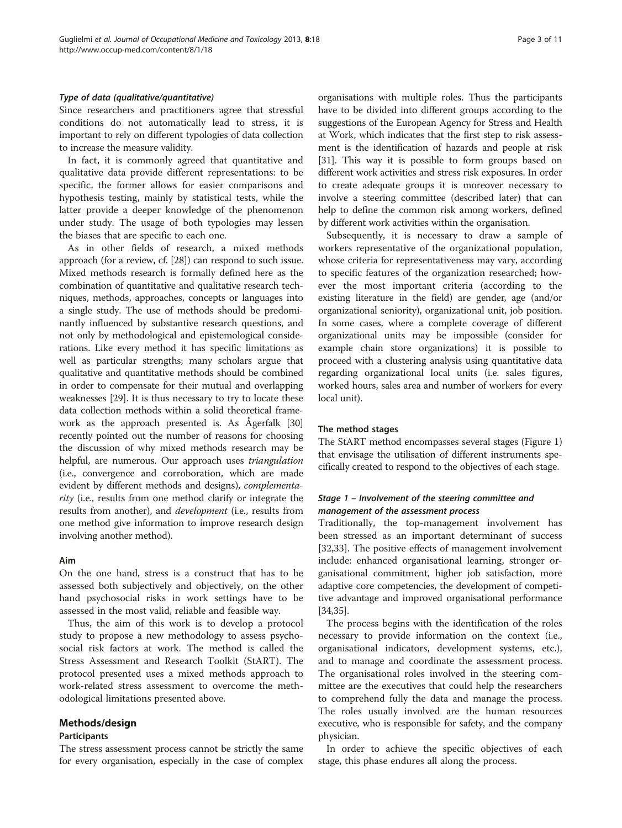## Type of data (qualitative/quantitative)

Since researchers and practitioners agree that stressful conditions do not automatically lead to stress, it is important to rely on different typologies of data collection to increase the measure validity.

In fact, it is commonly agreed that quantitative and qualitative data provide different representations: to be specific, the former allows for easier comparisons and hypothesis testing, mainly by statistical tests, while the latter provide a deeper knowledge of the phenomenon under study. The usage of both typologies may lessen the biases that are specific to each one.

As in other fields of research, a mixed methods approach (for a review, cf. [[28](#page-10-0)]) can respond to such issue. Mixed methods research is formally defined here as the combination of quantitative and qualitative research techniques, methods, approaches, concepts or languages into a single study. The use of methods should be predominantly influenced by substantive research questions, and not only by methodological and epistemological considerations. Like every method it has specific limitations as well as particular strengths; many scholars argue that qualitative and quantitative methods should be combined in order to compensate for their mutual and overlapping weaknesses [\[29\]](#page-10-0). It is thus necessary to try to locate these data collection methods within a solid theoretical framework as the approach presented is. As Ågerfalk [[30](#page-10-0)] recently pointed out the number of reasons for choosing the discussion of why mixed methods research may be helpful, are numerous. Our approach uses *triangulation* (i.e., convergence and corroboration, which are made evident by different methods and designs), complementarity (i.e., results from one method clarify or integrate the results from another), and development (i.e., results from one method give information to improve research design involving another method).

#### Aim

On the one hand, stress is a construct that has to be assessed both subjectively and objectively, on the other hand psychosocial risks in work settings have to be assessed in the most valid, reliable and feasible way.

Thus, the aim of this work is to develop a protocol study to propose a new methodology to assess psychosocial risk factors at work. The method is called the Stress Assessment and Research Toolkit (StART). The protocol presented uses a mixed methods approach to work-related stress assessment to overcome the methodological limitations presented above.

# Methods/design

#### Participants

The stress assessment process cannot be strictly the same for every organisation, especially in the case of complex organisations with multiple roles. Thus the participants have to be divided into different groups according to the suggestions of the European Agency for Stress and Health at Work, which indicates that the first step to risk assessment is the identification of hazards and people at risk [[31](#page-10-0)]. This way it is possible to form groups based on different work activities and stress risk exposures. In order to create adequate groups it is moreover necessary to involve a steering committee (described later) that can help to define the common risk among workers, defined by different work activities within the organisation.

Subsequently, it is necessary to draw a sample of workers representative of the organizational population, whose criteria for representativeness may vary, according to specific features of the organization researched; however the most important criteria (according to the existing literature in the field) are gender, age (and/or organizational seniority), organizational unit, job position. In some cases, where a complete coverage of different organizational units may be impossible (consider for example chain store organizations) it is possible to proceed with a clustering analysis using quantitative data regarding organizational local units (i.e. sales figures, worked hours, sales area and number of workers for every local unit).

#### The method stages

The StART method encompasses several stages (Figure [1](#page-3-0)) that envisage the utilisation of different instruments specifically created to respond to the objectives of each stage.

# Stage 1 – Involvement of the steering committee and management of the assessment process

Traditionally, the top-management involvement has been stressed as an important determinant of success [[32,33\]](#page-10-0). The positive effects of management involvement include: enhanced organisational learning, stronger organisational commitment, higher job satisfaction, more adaptive core competencies, the development of competitive advantage and improved organisational performance [[34](#page-10-0),[35](#page-10-0)].

The process begins with the identification of the roles necessary to provide information on the context (i.e., organisational indicators, development systems, etc.), and to manage and coordinate the assessment process. The organisational roles involved in the steering committee are the executives that could help the researchers to comprehend fully the data and manage the process. The roles usually involved are the human resources executive, who is responsible for safety, and the company physician.

In order to achieve the specific objectives of each stage, this phase endures all along the process.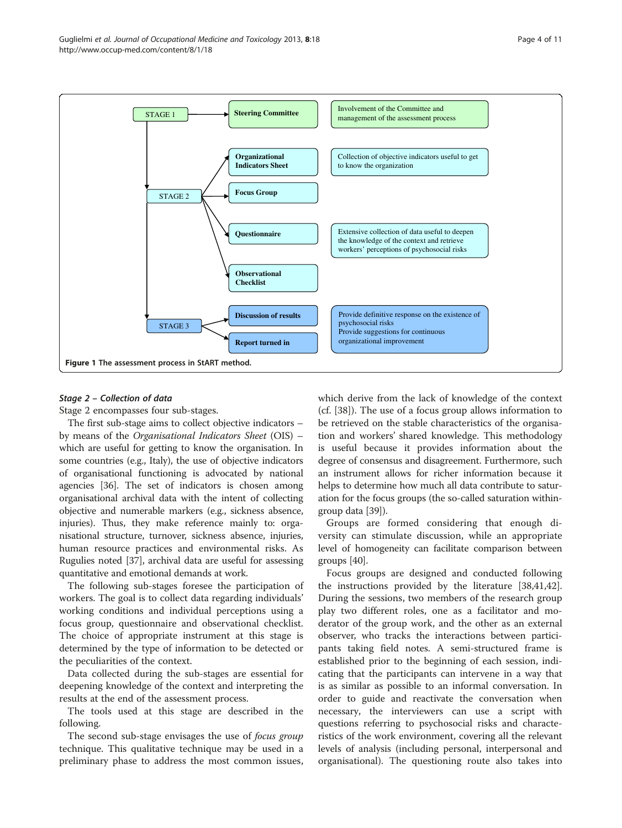<span id="page-3-0"></span>

# Stage 2 – Collection of data

Stage 2 encompasses four sub-stages.

The first sub-stage aims to collect objective indicators – by means of the Organisational Indicators Sheet (OIS) – which are useful for getting to know the organisation. In some countries (e.g., Italy), the use of objective indicators of organisational functioning is advocated by national agencies [\[36\]](#page-10-0). The set of indicators is chosen among organisational archival data with the intent of collecting objective and numerable markers (e.g., sickness absence, injuries). Thus, they make reference mainly to: organisational structure, turnover, sickness absence, injuries, human resource practices and environmental risks. As Rugulies noted [[37](#page-10-0)], archival data are useful for assessing quantitative and emotional demands at work.

The following sub-stages foresee the participation of workers. The goal is to collect data regarding individuals' working conditions and individual perceptions using a focus group, questionnaire and observational checklist. The choice of appropriate instrument at this stage is determined by the type of information to be detected or the peculiarities of the context.

Data collected during the sub-stages are essential for deepening knowledge of the context and interpreting the results at the end of the assessment process.

The tools used at this stage are described in the following.

The second sub-stage envisages the use of *focus group* technique. This qualitative technique may be used in a preliminary phase to address the most common issues, which derive from the lack of knowledge of the context (cf. [\[38](#page-10-0)]). The use of a focus group allows information to be retrieved on the stable characteristics of the organisation and workers' shared knowledge. This methodology is useful because it provides information about the degree of consensus and disagreement. Furthermore, such an instrument allows for richer information because it helps to determine how much all data contribute to saturation for the focus groups (the so-called saturation withingroup data [\[39](#page-10-0)]).

Groups are formed considering that enough diversity can stimulate discussion, while an appropriate level of homogeneity can facilitate comparison between groups [[40](#page-10-0)].

Focus groups are designed and conducted following the instructions provided by the literature [[38,41,42](#page-10-0)]. During the sessions, two members of the research group play two different roles, one as a facilitator and moderator of the group work, and the other as an external observer, who tracks the interactions between participants taking field notes. A semi-structured frame is established prior to the beginning of each session, indicating that the participants can intervene in a way that is as similar as possible to an informal conversation. In order to guide and reactivate the conversation when necessary, the interviewers can use a script with questions referring to psychosocial risks and characteristics of the work environment, covering all the relevant levels of analysis (including personal, interpersonal and organisational). The questioning route also takes into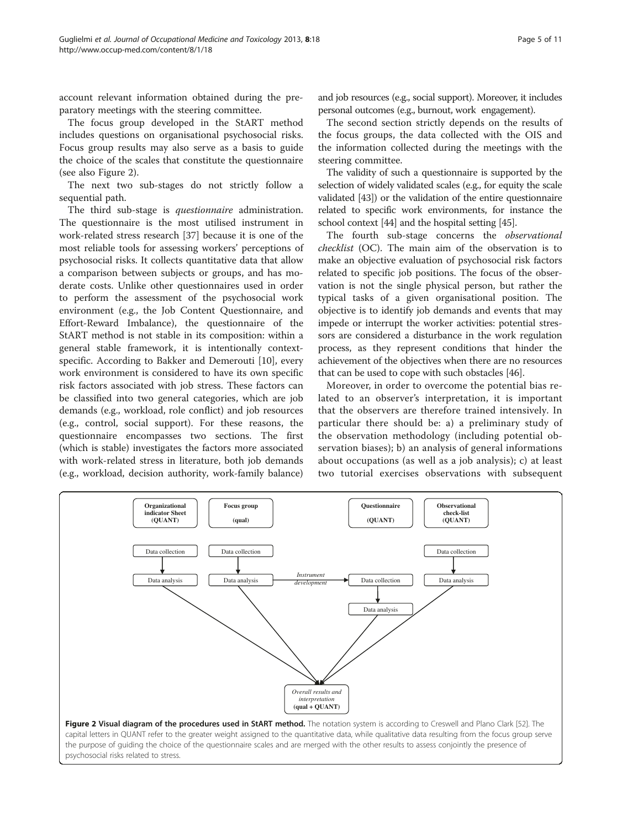<span id="page-4-0"></span>account relevant information obtained during the preparatory meetings with the steering committee.

The focus group developed in the StART method includes questions on organisational psychosocial risks. Focus group results may also serve as a basis to guide the choice of the scales that constitute the questionnaire (see also Figure 2).

The next two sub-stages do not strictly follow a sequential path.

The third sub-stage is *questionnaire* administration. The questionnaire is the most utilised instrument in work-related stress research [\[37\]](#page-10-0) because it is one of the most reliable tools for assessing workers' perceptions of psychosocial risks. It collects quantitative data that allow a comparison between subjects or groups, and has moderate costs. Unlike other questionnaires used in order to perform the assessment of the psychosocial work environment (e.g., the Job Content Questionnaire, and Effort-Reward Imbalance), the questionnaire of the StART method is not stable in its composition: within a general stable framework, it is intentionally contextspecific. According to Bakker and Demerouti [[10](#page-9-0)], every work environment is considered to have its own specific risk factors associated with job stress. These factors can be classified into two general categories, which are job demands (e.g., workload, role conflict) and job resources (e.g., control, social support). For these reasons, the questionnaire encompasses two sections. The first (which is stable) investigates the factors more associated with work-related stress in literature, both job demands (e.g., workload, decision authority, work-family balance)

and job resources (e.g., social support). Moreover, it includes personal outcomes (e.g., burnout, work engagement).

The second section strictly depends on the results of the focus groups, the data collected with the OIS and the information collected during the meetings with the steering committee.

The validity of such a questionnaire is supported by the selection of widely validated scales (e.g., for equity the scale validated [[43](#page-10-0)]) or the validation of the entire questionnaire related to specific work environments, for instance the school context [[44](#page-10-0)] and the hospital setting [[45](#page-10-0)].

The fourth sub-stage concerns the observational checklist (OC). The main aim of the observation is to make an objective evaluation of psychosocial risk factors related to specific job positions. The focus of the observation is not the single physical person, but rather the typical tasks of a given organisational position. The objective is to identify job demands and events that may impede or interrupt the worker activities: potential stressors are considered a disturbance in the work regulation process, as they represent conditions that hinder the achievement of the objectives when there are no resources that can be used to cope with such obstacles [[46](#page-10-0)].

Moreover, in order to overcome the potential bias related to an observer's interpretation, it is important that the observers are therefore trained intensively. In particular there should be: a) a preliminary study of the observation methodology (including potential observation biases); b) an analysis of general informations about occupations (as well as a job analysis); c) at least two tutorial exercises observations with subsequent

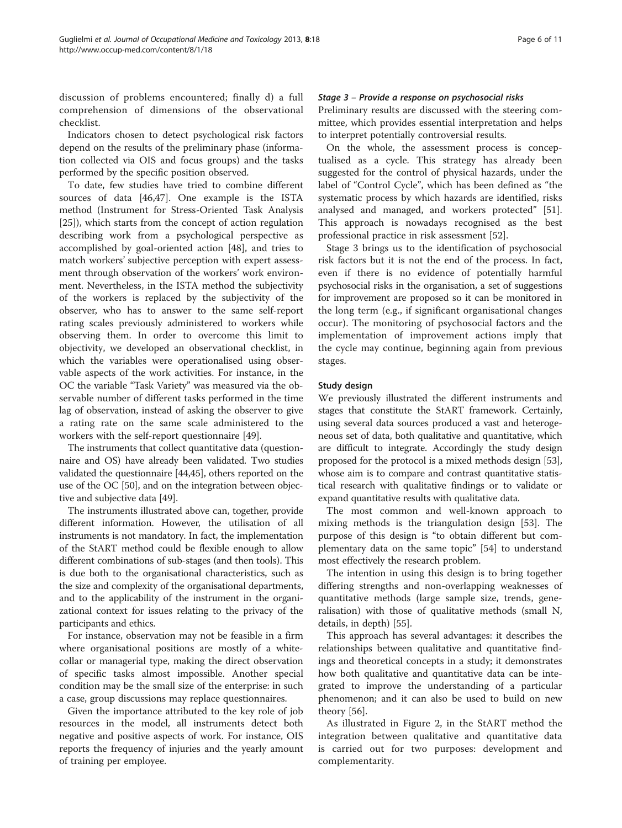discussion of problems encountered; finally d) a full comprehension of dimensions of the observational checklist.

Indicators chosen to detect psychological risk factors depend on the results of the preliminary phase (information collected via OIS and focus groups) and the tasks performed by the specific position observed.

To date, few studies have tried to combine different sources of data [[46,47](#page-10-0)]. One example is the ISTA method (Instrument for Stress-Oriented Task Analysis [[25\]](#page-10-0)), which starts from the concept of action regulation describing work from a psychological perspective as accomplished by goal-oriented action [[48](#page-10-0)], and tries to match workers' subjective perception with expert assessment through observation of the workers' work environment. Nevertheless, in the ISTA method the subjectivity of the workers is replaced by the subjectivity of the observer, who has to answer to the same self-report rating scales previously administered to workers while observing them. In order to overcome this limit to objectivity, we developed an observational checklist, in which the variables were operationalised using observable aspects of the work activities. For instance, in the OC the variable "Task Variety" was measured via the observable number of different tasks performed in the time lag of observation, instead of asking the observer to give a rating rate on the same scale administered to the workers with the self-report questionnaire [[49](#page-10-0)].

The instruments that collect quantitative data (questionnaire and OS) have already been validated. Two studies validated the questionnaire [[44,45](#page-10-0)], others reported on the use of the OC [\[50\]](#page-10-0), and on the integration between objective and subjective data [[49](#page-10-0)].

The instruments illustrated above can, together, provide different information. However, the utilisation of all instruments is not mandatory. In fact, the implementation of the StART method could be flexible enough to allow different combinations of sub-stages (and then tools). This is due both to the organisational characteristics, such as the size and complexity of the organisational departments, and to the applicability of the instrument in the organizational context for issues relating to the privacy of the participants and ethics.

For instance, observation may not be feasible in a firm where organisational positions are mostly of a whitecollar or managerial type, making the direct observation of specific tasks almost impossible. Another special condition may be the small size of the enterprise: in such a case, group discussions may replace questionnaires.

Given the importance attributed to the key role of job resources in the model, all instruments detect both negative and positive aspects of work. For instance, OIS reports the frequency of injuries and the yearly amount of training per employee.

# Stage 3 – Provide a response on psychosocial risks

Preliminary results are discussed with the steering committee, which provides essential interpretation and helps to interpret potentially controversial results.

On the whole, the assessment process is conceptualised as a cycle. This strategy has already been suggested for the control of physical hazards, under the label of "Control Cycle", which has been defined as "the systematic process by which hazards are identified, risks analysed and managed, and workers protected" [\[51](#page-10-0)]. This approach is nowadays recognised as the best professional practice in risk assessment [[52\]](#page-10-0).

Stage 3 brings us to the identification of psychosocial risk factors but it is not the end of the process. In fact, even if there is no evidence of potentially harmful psychosocial risks in the organisation, a set of suggestions for improvement are proposed so it can be monitored in the long term (e.g., if significant organisational changes occur). The monitoring of psychosocial factors and the implementation of improvement actions imply that the cycle may continue, beginning again from previous stages.

## Study design

We previously illustrated the different instruments and stages that constitute the StART framework. Certainly, using several data sources produced a vast and heterogeneous set of data, both qualitative and quantitative, which are difficult to integrate. Accordingly the study design proposed for the protocol is a mixed methods design [[53](#page-10-0)], whose aim is to compare and contrast quantitative statistical research with qualitative findings or to validate or expand quantitative results with qualitative data.

The most common and well-known approach to mixing methods is the triangulation design [[53\]](#page-10-0). The purpose of this design is "to obtain different but complementary data on the same topic" [\[54](#page-10-0)] to understand most effectively the research problem.

The intention in using this design is to bring together differing strengths and non-overlapping weaknesses of quantitative methods (large sample size, trends, generalisation) with those of qualitative methods (small N, details, in depth) [[55](#page-10-0)].

This approach has several advantages: it describes the relationships between qualitative and quantitative findings and theoretical concepts in a study; it demonstrates how both qualitative and quantitative data can be integrated to improve the understanding of a particular phenomenon; and it can also be used to build on new theory [[56\]](#page-10-0).

As illustrated in Figure [2](#page-4-0), in the StART method the integration between qualitative and quantitative data is carried out for two purposes: development and complementarity.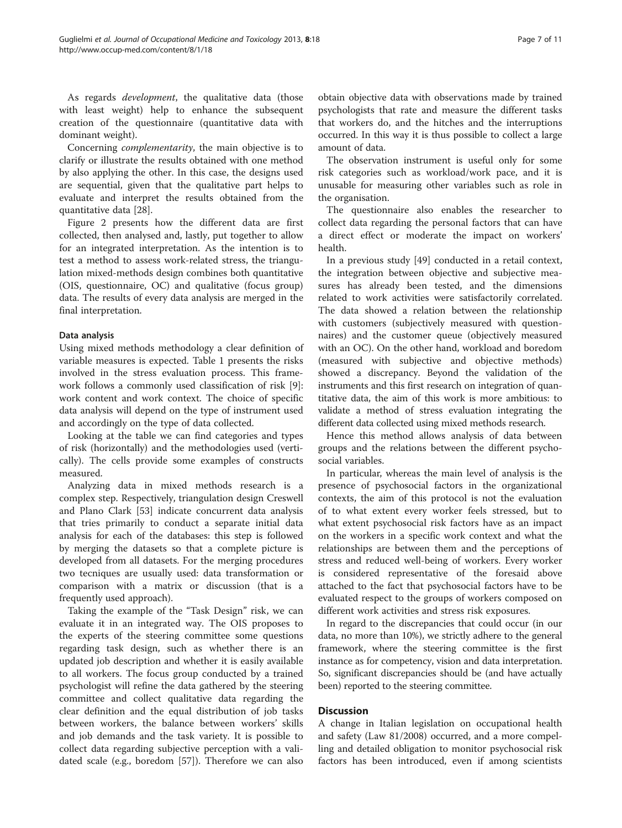As regards *development*, the qualitative data (those with least weight) help to enhance the subsequent creation of the questionnaire (quantitative data with dominant weight).

Concerning complementarity, the main objective is to clarify or illustrate the results obtained with one method by also applying the other. In this case, the designs used are sequential, given that the qualitative part helps to evaluate and interpret the results obtained from the quantitative data [\[28\]](#page-10-0).

Figure [2](#page-4-0) presents how the different data are first collected, then analysed and, lastly, put together to allow for an integrated interpretation. As the intention is to test a method to assess work-related stress, the triangulation mixed-methods design combines both quantitative (OIS, questionnaire, OC) and qualitative (focus group) data. The results of every data analysis are merged in the final interpretation.

# Data analysis

Using mixed methods methodology a clear definition of variable measures is expected. Table [1](#page-7-0) presents the risks involved in the stress evaluation process. This framework follows a commonly used classification of risk [\[9](#page-9-0)]: work content and work context. The choice of specific data analysis will depend on the type of instrument used and accordingly on the type of data collected.

Looking at the table we can find categories and types of risk (horizontally) and the methodologies used (vertically). The cells provide some examples of constructs measured.

Analyzing data in mixed methods research is a complex step. Respectively, triangulation design Creswell and Plano Clark [[53\]](#page-10-0) indicate concurrent data analysis that tries primarily to conduct a separate initial data analysis for each of the databases: this step is followed by merging the datasets so that a complete picture is developed from all datasets. For the merging procedures two tecniques are usually used: data transformation or comparison with a matrix or discussion (that is a frequently used approach).

Taking the example of the "Task Design" risk, we can evaluate it in an integrated way. The OIS proposes to the experts of the steering committee some questions regarding task design, such as whether there is an updated job description and whether it is easily available to all workers. The focus group conducted by a trained psychologist will refine the data gathered by the steering committee and collect qualitative data regarding the clear definition and the equal distribution of job tasks between workers, the balance between workers' skills and job demands and the task variety. It is possible to collect data regarding subjective perception with a validated scale (e.g., boredom [[57\]](#page-10-0)). Therefore we can also

obtain objective data with observations made by trained psychologists that rate and measure the different tasks that workers do, and the hitches and the interruptions occurred. In this way it is thus possible to collect a large amount of data.

The observation instrument is useful only for some risk categories such as workload/work pace, and it is unusable for measuring other variables such as role in the organisation.

The questionnaire also enables the researcher to collect data regarding the personal factors that can have a direct effect or moderate the impact on workers' health.

In a previous study [[49](#page-10-0)] conducted in a retail context, the integration between objective and subjective measures has already been tested, and the dimensions related to work activities were satisfactorily correlated. The data showed a relation between the relationship with customers (subjectively measured with questionnaires) and the customer queue (objectively measured with an OC). On the other hand, workload and boredom (measured with subjective and objective methods) showed a discrepancy. Beyond the validation of the instruments and this first research on integration of quantitative data, the aim of this work is more ambitious: to validate a method of stress evaluation integrating the different data collected using mixed methods research.

Hence this method allows analysis of data between groups and the relations between the different psychosocial variables.

In particular, whereas the main level of analysis is the presence of psychosocial factors in the organizational contexts, the aim of this protocol is not the evaluation of to what extent every worker feels stressed, but to what extent psychosocial risk factors have as an impact on the workers in a specific work context and what the relationships are between them and the perceptions of stress and reduced well-being of workers. Every worker is considered representative of the foresaid above attached to the fact that psychosocial factors have to be evaluated respect to the groups of workers composed on different work activities and stress risk exposures.

In regard to the discrepancies that could occur (in our data, no more than 10%), we strictly adhere to the general framework, where the steering committee is the first instance as for competency, vision and data interpretation. So, significant discrepancies should be (and have actually been) reported to the steering committee.

## **Discussion**

A change in Italian legislation on occupational health and safety (Law 81/2008) occurred, and a more compelling and detailed obligation to monitor psychosocial risk factors has been introduced, even if among scientists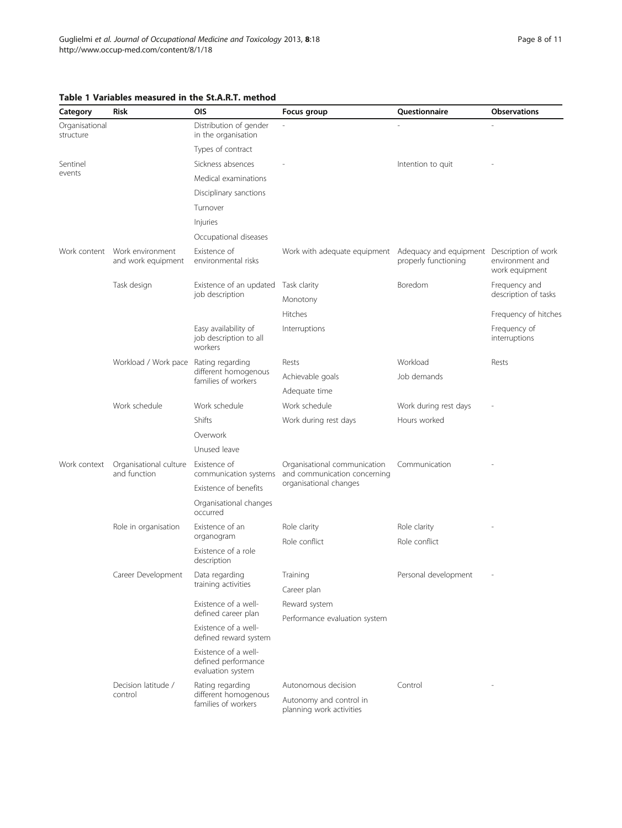# <span id="page-7-0"></span>Table 1 Variables measured in the St.A.R.T. method

| Category                    | Risk                                   | <b>OIS</b>                                                       | <b>Focus group</b>                                                                     | Questionnaire         | <b>Observations</b>                   |
|-----------------------------|----------------------------------------|------------------------------------------------------------------|----------------------------------------------------------------------------------------|-----------------------|---------------------------------------|
| Organisational<br>structure |                                        | Distribution of gender<br>in the organisation                    |                                                                                        |                       |                                       |
|                             |                                        | Types of contract                                                |                                                                                        |                       |                                       |
| Sentinel                    |                                        | Sickness absences                                                |                                                                                        | Intention to quit     |                                       |
| events                      |                                        | Medical examinations                                             |                                                                                        |                       |                                       |
|                             |                                        | Disciplinary sanctions                                           |                                                                                        |                       |                                       |
|                             |                                        | Turnover                                                         |                                                                                        |                       |                                       |
|                             |                                        | Injuries                                                         |                                                                                        |                       |                                       |
|                             |                                        | Occupational diseases                                            |                                                                                        |                       |                                       |
| Work content                | Work environment<br>and work equipment | Existence of<br>environmental risks                              | Work with adequate equipment Adequacy and equipment Description of work                | properly functioning  | environment and<br>work equipment     |
|                             | Task design                            | Existence of an updated<br>job description                       | Task clarity                                                                           | Boredom               | Frequency and<br>description of tasks |
|                             |                                        |                                                                  | Monotony                                                                               |                       |                                       |
|                             |                                        |                                                                  | Hitches                                                                                |                       | Frequency of hitches                  |
|                             |                                        | Easy availability of<br>job description to all<br>workers        | Interruptions                                                                          |                       | Frequency of<br>interruptions         |
|                             | Workload / Work pace Rating regarding  | different homogenous<br>families of workers                      | Rests                                                                                  | Workload              | Rests                                 |
|                             |                                        |                                                                  | Achievable goals                                                                       | Job demands           |                                       |
|                             |                                        |                                                                  | Adequate time                                                                          |                       |                                       |
|                             | Work schedule                          | Work schedule                                                    | Work schedule                                                                          | Work during rest days |                                       |
|                             |                                        | Shifts                                                           | Hours worked<br>Work during rest days                                                  |                       |                                       |
|                             |                                        | Overwork                                                         |                                                                                        |                       |                                       |
|                             |                                        | Unused leave                                                     |                                                                                        |                       |                                       |
| Work context                | Organisational culture<br>and function | Existence of<br>communication systems                            | Organisational communication<br>and communication concerning<br>organisational changes | Communication         |                                       |
|                             |                                        | Existence of benefits                                            |                                                                                        |                       |                                       |
|                             |                                        | Organisational changes<br>occurred                               |                                                                                        |                       |                                       |
|                             | Role in organisation                   | Existence of an                                                  | Role clarity<br>Role conflict                                                          | Role clarity          |                                       |
|                             |                                        | organogram<br>Existence of a role                                |                                                                                        | Role conflict         |                                       |
|                             | Career Development                     | description<br>Data regarding<br>training activities             |                                                                                        | Personal development  |                                       |
|                             |                                        |                                                                  | Training                                                                               |                       |                                       |
|                             |                                        |                                                                  | Career plan                                                                            |                       |                                       |
|                             |                                        | Existence of a well-<br>defined career plan                      | Reward system<br>Performance evaluation system                                         |                       |                                       |
|                             |                                        | Existence of a well-<br>defined reward system                    |                                                                                        |                       |                                       |
|                             |                                        | Existence of a well-<br>defined performance<br>evaluation system |                                                                                        |                       |                                       |
|                             | Decision latitude /                    | Rating regarding                                                 | Autonomous decision                                                                    | Control               |                                       |
|                             | control                                | different homogenous<br>families of workers                      | Autonomy and control in<br>planning work activities                                    |                       |                                       |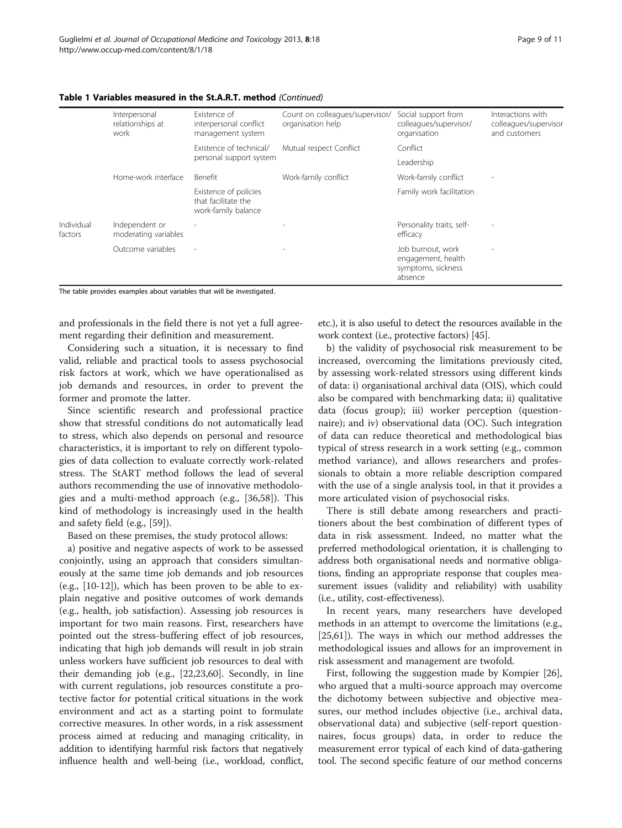|                       | Interpersonal<br>relationships at<br>work | Existence of<br>interpersonal conflict<br>management system         | Count on colleagues/supervisor/<br>organisation help | Social support from<br>colleagues/supervisor/<br>organisation            | Interactions with<br>colleagues/supervisor<br>and customers |
|-----------------------|-------------------------------------------|---------------------------------------------------------------------|------------------------------------------------------|--------------------------------------------------------------------------|-------------------------------------------------------------|
|                       |                                           | Existence of technical/<br>personal support system                  | Mutual respect Conflict                              | Conflict                                                                 |                                                             |
|                       |                                           |                                                                     |                                                      | Leadership                                                               |                                                             |
|                       | Home-work interface                       | Benefit                                                             | Work-family conflict                                 | Work-family conflict                                                     | $\overline{\phantom{a}}$                                    |
|                       |                                           | Existence of policies<br>that facilitate the<br>work-family balance |                                                      | Family work facilitation                                                 |                                                             |
| Individual<br>factors | Independent or<br>moderating variables    |                                                                     |                                                      | Personality traits, self-<br>efficacy                                    | $\overline{\phantom{a}}$                                    |
|                       | Outcome variables                         | $\overline{\phantom{a}}$                                            | $\overline{\phantom{a}}$                             | Job burnout, work<br>engagement, health<br>symptoms, sickness<br>absence |                                                             |

| <b>Table 1 Variables measured in the St.A.R.T. method</b> (Continued) |
|-----------------------------------------------------------------------|
|-----------------------------------------------------------------------|

The table provides examples about variables that will be investigated.

and professionals in the field there is not yet a full agreement regarding their definition and measurement.

Considering such a situation, it is necessary to find valid, reliable and practical tools to assess psychosocial risk factors at work, which we have operationalised as job demands and resources, in order to prevent the former and promote the latter.

Since scientific research and professional practice show that stressful conditions do not automatically lead to stress, which also depends on personal and resource characteristics, it is important to rely on different typologies of data collection to evaluate correctly work-related stress. The StART method follows the lead of several authors recommending the use of innovative methodologies and a multi-method approach (e.g., [\[36,58](#page-10-0)]). This kind of methodology is increasingly used in the health and safety field (e.g., [[59\]](#page-10-0)).

Based on these premises, the study protocol allows:

a) positive and negative aspects of work to be assessed conjointly, using an approach that considers simultaneously at the same time job demands and job resources (e.g., [\[10](#page-9-0)-[12\]](#page-9-0)), which has been proven to be able to explain negative and positive outcomes of work demands (e.g., health, job satisfaction). Assessing job resources is important for two main reasons. First, researchers have pointed out the stress-buffering effect of job resources, indicating that high job demands will result in job strain unless workers have sufficient job resources to deal with their demanding job (e.g., [\[22,23,60](#page-10-0)]. Secondly, in line with current regulations, job resources constitute a protective factor for potential critical situations in the work environment and act as a starting point to formulate corrective measures. In other words, in a risk assessment process aimed at reducing and managing criticality, in addition to identifying harmful risk factors that negatively influence health and well-being (i.e., workload, conflict,

etc.), it is also useful to detect the resources available in the work context (i.e., protective factors) [[45](#page-10-0)].

b) the validity of psychosocial risk measurement to be increased, overcoming the limitations previously cited, by assessing work-related stressors using different kinds of data: i) organisational archival data (OIS), which could also be compared with benchmarking data; ii) qualitative data (focus group); iii) worker perception (questionnaire); and iv) observational data (OC). Such integration of data can reduce theoretical and methodological bias typical of stress research in a work setting (e.g., common method variance), and allows researchers and professionals to obtain a more reliable description compared with the use of a single analysis tool, in that it provides a more articulated vision of psychosocial risks.

There is still debate among researchers and practitioners about the best combination of different types of data in risk assessment. Indeed, no matter what the preferred methodological orientation, it is challenging to address both organisational needs and normative obligations, finding an appropriate response that couples measurement issues (validity and reliability) with usability (i.e., utility, cost-effectiveness).

In recent years, many researchers have developed methods in an attempt to overcome the limitations (e.g., [[25,61\]](#page-10-0)). The ways in which our method addresses the methodological issues and allows for an improvement in risk assessment and management are twofold.

First, following the suggestion made by Kompier [\[26](#page-10-0)], who argued that a multi-source approach may overcome the dichotomy between subjective and objective measures, our method includes objective (i.e., archival data, observational data) and subjective (self-report questionnaires, focus groups) data, in order to reduce the measurement error typical of each kind of data-gathering tool. The second specific feature of our method concerns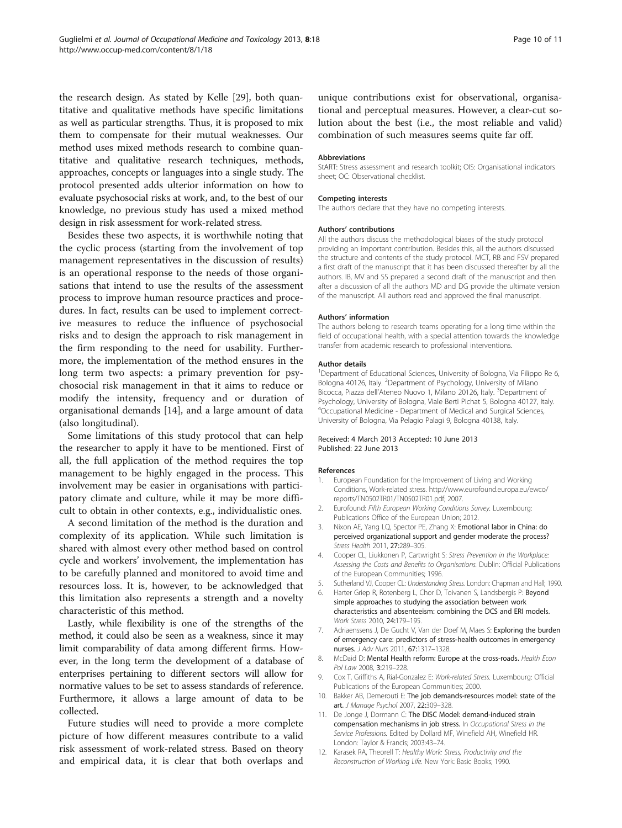<span id="page-9-0"></span>the research design. As stated by Kelle [[29](#page-10-0)], both quantitative and qualitative methods have specific limitations as well as particular strengths. Thus, it is proposed to mix them to compensate for their mutual weaknesses. Our method uses mixed methods research to combine quantitative and qualitative research techniques, methods, approaches, concepts or languages into a single study. The protocol presented adds ulterior information on how to evaluate psychosocial risks at work, and, to the best of our knowledge, no previous study has used a mixed method design in risk assessment for work-related stress.

Besides these two aspects, it is worthwhile noting that the cyclic process (starting from the involvement of top management representatives in the discussion of results) is an operational response to the needs of those organisations that intend to use the results of the assessment process to improve human resource practices and procedures. In fact, results can be used to implement corrective measures to reduce the influence of psychosocial risks and to design the approach to risk management in the firm responding to the need for usability. Furthermore, the implementation of the method ensures in the long term two aspects: a primary prevention for psychosocial risk management in that it aims to reduce or modify the intensity, frequency and or duration of organisational demands [\[14\]](#page-10-0), and a large amount of data (also longitudinal).

Some limitations of this study protocol that can help the researcher to apply it have to be mentioned. First of all, the full application of the method requires the top management to be highly engaged in the process. This involvement may be easier in organisations with participatory climate and culture, while it may be more difficult to obtain in other contexts, e.g., individualistic ones.

A second limitation of the method is the duration and complexity of its application. While such limitation is shared with almost every other method based on control cycle and workers' involvement, the implementation has to be carefully planned and monitored to avoid time and resources loss. It is, however, to be acknowledged that this limitation also represents a strength and a novelty characteristic of this method.

Lastly, while flexibility is one of the strengths of the method, it could also be seen as a weakness, since it may limit comparability of data among different firms. However, in the long term the development of a database of enterprises pertaining to different sectors will allow for normative values to be set to assess standards of reference. Furthermore, it allows a large amount of data to be collected.

Future studies will need to provide a more complete picture of how different measures contribute to a valid risk assessment of work-related stress. Based on theory and empirical data, it is clear that both overlaps and

unique contributions exist for observational, organisational and perceptual measures. However, a clear-cut solution about the best (i.e., the most reliable and valid) combination of such measures seems quite far off.

#### Abbreviations

StART: Stress assessment and research toolkit; OIS: Organisational indicators sheet; OC: Observational checklist.

#### Competing interests

The authors declare that they have no competing interests.

#### Authors' contributions

All the authors discuss the methodological biases of the study protocol providing an important contribution. Besides this, all the authors discussed the structure and contents of the study protocol. MCT, RB and FSV prepared a first draft of the manuscript that it has been discussed thereafter by all the authors. IB, MV and SS prepared a second draft of the manuscript and then after a discussion of all the authors MD and DG provide the ultimate version of the manuscript. All authors read and approved the final manuscript.

#### Authors' information

The authors belong to research teams operating for a long time within the field of occupational health, with a special attention towards the knowledge transfer from academic research to professional interventions.

#### Author details

<sup>1</sup>Department of Educational Sciences, University of Bologna, Via Filippo Re 6 Bologna 40126, Italy. <sup>2</sup>Department of Psychology, University of Milano Bicocca, Piazza dell'Ateneo Nuovo 1, Milano 20126, Italy. <sup>3</sup>Department of Psychology, University of Bologna, Viale Berti Pichat 5, Bologna 40127, Italy. 4 Occupational Medicine - Department of Medical and Surgical Sciences, University of Bologna, Via Pelagio Palagi 9, Bologna 40138, Italy.

#### Received: 4 March 2013 Accepted: 10 June 2013 Published: 22 June 2013

#### References

- 1. European Foundation for the Improvement of Living and Working Conditions, Work-related stress. [http://www.eurofound.europa.eu/ewco/](http://www.eurofound.europa.eu/ewco/reports/TN0502TR01/TN0502TR01.pdf) [reports/TN0502TR01/TN0502TR01.pdf;](http://www.eurofound.europa.eu/ewco/reports/TN0502TR01/TN0502TR01.pdf) 2007.
- 2. Eurofound: Fifth European Working Conditions Survey. Luxembourg: Publications Office of the European Union; 2012.
- 3. Nixon AE, Yang LQ, Spector PE, Zhang X: Emotional labor in China: do perceived organizational support and gender moderate the process? Stress Health 2011, 27:289-305.
- 4. Cooper CL, Liukkonen P, Cartwright S: Stress Prevention in the Workplace: Assessing the Costs and Benefits to Organisations. Dublin: Official Publications of the European Communities; 1996.
- 5. Sutherland VJ, Cooper CL: Understanding Stress. London: Chapman and Hall; 1990. 6. Harter Griep R, Rotenberg L, Chor D, Toivanen S, Landsbergis P: Beyond
	- simple approaches to studying the association between work characteristics and absenteeism: combining the DCS and ERI models. Work Stress 2010, 24:179–195.
- 7. Adriaenssens J, De Gucht V, Van der Doef M, Maes S: Exploring the burden of emergency care: predictors of stress-health outcomes in emergency nurses. J Adv Nurs 2011, 67:1317–1328.
- 8. McDaid D: Mental Health reform: Europe at the cross-roads. Health Econ Pol Law 2008, 3:219–228.
- 9. Cox T, Griffiths A, Rial-Gonzalez E: Work-related Stress. Luxembourg: Official Publications of the European Communities; 2000.
- 10. Bakker AB, Demerouti E: The job demands-resources model: state of the art. J Manage Psychol 2007, 22:309-328.
- 11. De Jonge J, Dormann C: The DISC Model: demand-induced strain compensation mechanisms in job stress. In Occupational Stress in the Service Professions. Edited by Dollard MF, Winefield AH, Winefield HR. London: Taylor & Francis; 2003:43–74.
- 12. Karasek RA, Theorell T: Healthy Work: Stress, Productivity and the Reconstruction of Working Life. New York: Basic Books; 1990.